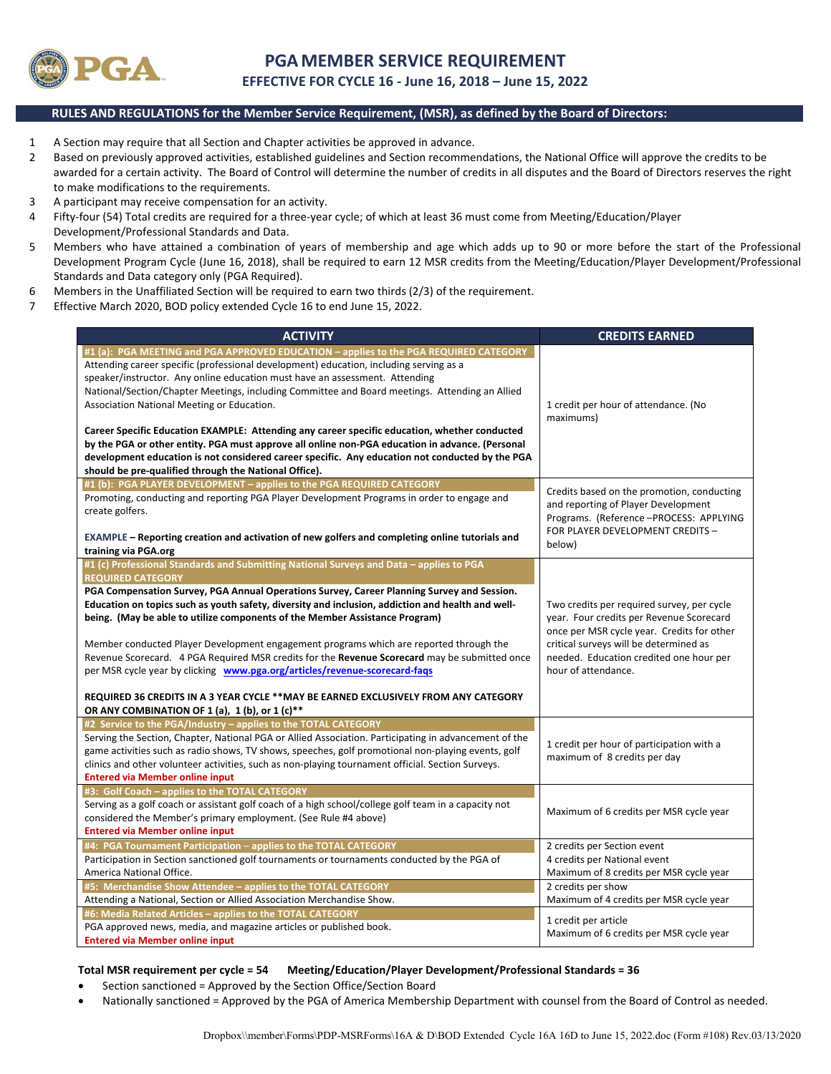

# **PGAMEMBER SERVICE REQUIREMENT**

**EFFECTIVE FOR CYCLE 16 ‐ June 16, 2018 – June 15, 2022** 

#### **RULES AND REGULATIONS for the Member Service Requirement, (MSR), as defined by the Board of Directors:**

- 1 A Section may require that all Section and Chapter activities be approved in advance.
- 2 Based on previously approved activities, established guidelines and Section recommendations, the National Office will approve the credits to be awarded for a certain activity. The Board of Control will determine the number of credits in all disputes and the Board of Directors reserves the right to make modifications to the requirements.
- 3 A participant may receive compensation for an activity.
- 4 Fifty‐four (54) Total credits are required for a three‐year cycle; of which at least 36 must come from Meeting/Education/Player Development/Professional Standards and Data.
- 5 Members who have attained a combination of years of membership and age which adds up to 90 or more before the start of the Professional Development Program Cycle (June 16, 2018), shall be required to earn 12 MSR credits from the Meeting/Education/Player Development/Professional Standards and Data category only (PGA Required).
- 6 Members in the Unaffiliated Section will be required to earn two thirds (2/3) of the requirement.
- 7 Effective March 2020, BOD policy extended Cycle 16 to end June 15, 2022.

| <b>ACTIVITY</b>                                                                                                                                                                                                                                                                                                                                                                                                                                                                                                                                                                                                                                                                                                                                                                                                         | <b>CREDITS EARNED</b>                                                                                                                                                                                                                            |
|-------------------------------------------------------------------------------------------------------------------------------------------------------------------------------------------------------------------------------------------------------------------------------------------------------------------------------------------------------------------------------------------------------------------------------------------------------------------------------------------------------------------------------------------------------------------------------------------------------------------------------------------------------------------------------------------------------------------------------------------------------------------------------------------------------------------------|--------------------------------------------------------------------------------------------------------------------------------------------------------------------------------------------------------------------------------------------------|
| #1 (a): PGA MEETING and PGA APPROVED EDUCATION - applies to the PGA REQUIRED CATEGORY<br>Attending career specific (professional development) education, including serving as a<br>speaker/instructor. Any online education must have an assessment. Attending<br>National/Section/Chapter Meetings, including Committee and Board meetings. Attending an Allied<br>Association National Meeting or Education.<br>Career Specific Education EXAMPLE: Attending any career specific education, whether conducted<br>by the PGA or other entity. PGA must approve all online non-PGA education in advance. (Personal<br>development education is not considered career specific. Any education not conducted by the PGA<br>should be pre-qualified through the National Office).                                          | 1 credit per hour of attendance. (No<br>maximums)                                                                                                                                                                                                |
| #1 (b): PGA PLAYER DEVELOPMENT - applies to the PGA REQUIRED CATEGORY<br>Promoting, conducting and reporting PGA Player Development Programs in order to engage and<br>create golfers.<br>EXAMPLE - Reporting creation and activation of new golfers and completing online tutorials and<br>training via PGA.org                                                                                                                                                                                                                                                                                                                                                                                                                                                                                                        | Credits based on the promotion, conducting<br>and reporting of Player Development<br>Programs. (Reference-PROCESS: APPLYING<br>FOR PLAYER DEVELOPMENT CREDITS -<br>below)                                                                        |
| #1 (c) Professional Standards and Submitting National Surveys and Data - applies to PGA<br><b>REQUIRED CATEGORY</b><br>PGA Compensation Survey, PGA Annual Operations Survey, Career Planning Survey and Session.<br>Education on topics such as youth safety, diversity and inclusion, addiction and health and well-<br>being. (May be able to utilize components of the Member Assistance Program)<br>Member conducted Player Development engagement programs which are reported through the<br>Revenue Scorecard. 4 PGA Required MSR credits for the Revenue Scorecard may be submitted once<br>per MSR cycle year by clicking www.pga.org/articles/revenue-scorecard-fags<br>REQUIRED 36 CREDITS IN A 3 YEAR CYCLE **MAY BE EARNED EXCLUSIVELY FROM ANY CATEGORY<br>OR ANY COMBINATION OF 1 (a), 1 (b), or 1 (c)** | Two credits per required survey, per cycle<br>year. Four credits per Revenue Scorecard<br>once per MSR cycle year. Credits for other<br>critical surveys will be determined as<br>needed. Education credited one hour per<br>hour of attendance. |
| #2 Service to the PGA/Industry - applies to the TOTAL CATEGORY<br>Serving the Section, Chapter, National PGA or Allied Association. Participating in advancement of the<br>game activities such as radio shows, TV shows, speeches, golf promotional non-playing events, golf<br>clinics and other volunteer activities, such as non-playing tournament official. Section Surveys.<br><b>Entered via Member online input</b>                                                                                                                                                                                                                                                                                                                                                                                            | 1 credit per hour of participation with a<br>maximum of 8 credits per day                                                                                                                                                                        |
| #3: Golf Coach - applies to the TOTAL CATEGORY<br>Serving as a golf coach or assistant golf coach of a high school/college golf team in a capacity not<br>considered the Member's primary employment. (See Rule #4 above)<br><b>Entered via Member online input</b>                                                                                                                                                                                                                                                                                                                                                                                                                                                                                                                                                     | Maximum of 6 credits per MSR cycle year                                                                                                                                                                                                          |
| #4: PGA Tournament Participation - applies to the TOTAL CATEGORY<br>Participation in Section sanctioned golf tournaments or tournaments conducted by the PGA of<br>America National Office.<br>#5: Merchandise Show Attendee - applies to the TOTAL CATEGORY<br>Attending a National, Section or Allied Association Merchandise Show.                                                                                                                                                                                                                                                                                                                                                                                                                                                                                   | 2 credits per Section event<br>4 credits per National event<br>Maximum of 8 credits per MSR cycle year<br>2 credits per show<br>Maximum of 4 credits per MSR cycle year                                                                          |
| #6: Media Related Articles - applies to the TOTAL CATEGORY<br>PGA approved news, media, and magazine articles or published book.<br><b>Entered via Member online input</b>                                                                                                                                                                                                                                                                                                                                                                                                                                                                                                                                                                                                                                              | 1 credit per article<br>Maximum of 6 credits per MSR cycle year                                                                                                                                                                                  |

#### **Total MSR requirement per cycle = 54 Meeting/Education/Player Development/Professional Standards = 36**

- Section sanctioned = Approved by the Section Office/Section Board
- Nationally sanctioned = Approved by the PGA of America Membership Department with counsel from the Board of Control as needed.